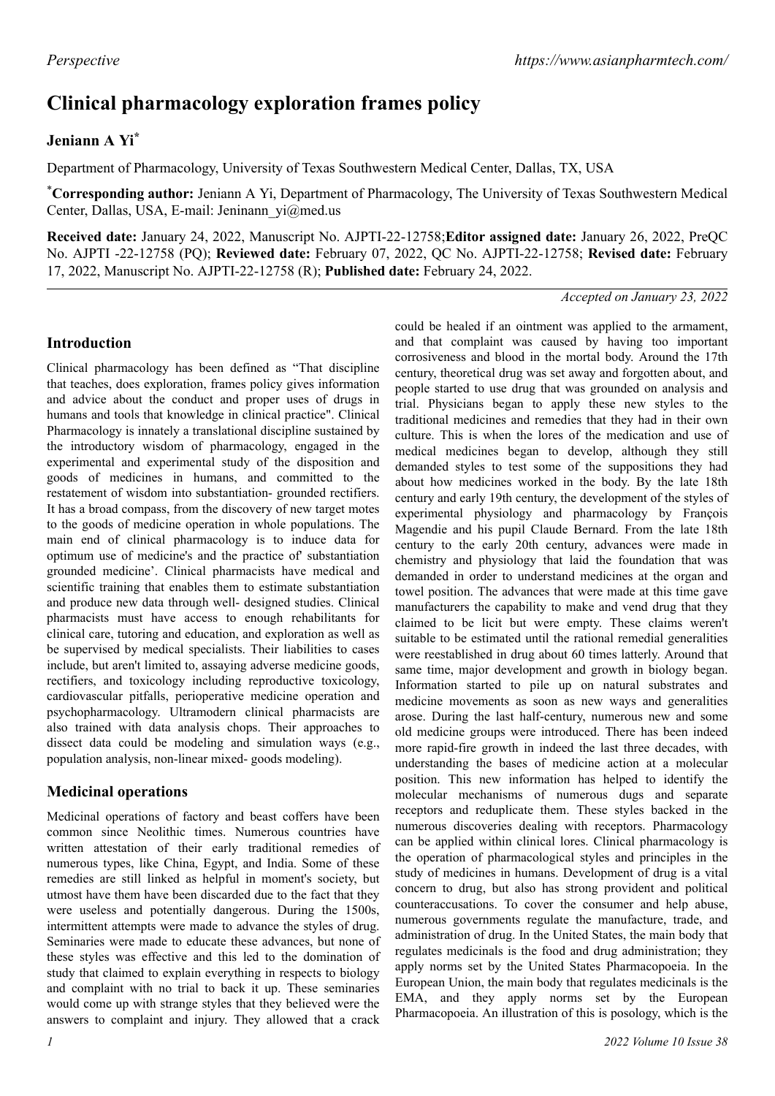# **Clinical pharmacology exploration frames policy**

## **Jeniann A Yi\***

Department of Pharmacology, University of Texas Southwestern Medical Center, Dallas, TX, USA

\***Corresponding author:** Jeniann A Yi, Department of Pharmacology, The University of Texas Southwestern Medical Center, Dallas, USA, E-mail: Jeninann\_yi@med.us

**Received date:** January 24, 2022, Manuscript No. AJPTI-22-12758;**Editor assigned date:** January 26, 2022, PreQC No. AJPTI -22-12758 (PQ); **Reviewed date:** February 07, 2022, QC No. AJPTI-22-12758; **Revised date:** February 17, 2022, Manuscript No. AJPTI-22-12758 (R); **Published date:** February 24, 2022.

#### *Accepted on January 23, 2022*

#### **Introduction**

Clinical pharmacology has been defined as "That discipline that teaches, does exploration, frames policy gives information and advice about the conduct and proper uses of drugs in humans and tools that knowledge in clinical practice". Clinical Pharmacology is innately a translational discipline sustained by the introductory wisdom of pharmacology, engaged in the experimental and experimental study of the disposition and goods of medicines in humans, and committed to the restatement of wisdom into substantiation- grounded rectifiers. It has a broad compass, from the discovery of new target motes to the goods of medicine operation in whole populations. The main end of clinical pharmacology is to induce data for optimum use of medicine's and the practice of' substantiation grounded medicine'. Clinical pharmacists have medical and scientific training that enables them to estimate substantiation and produce new data through well- designed studies. Clinical pharmacists must have access to enough rehabilitants for clinical care, tutoring and education, and exploration as well as be supervised by medical specialists. Their liabilities to cases include, but aren't limited to, assaying adverse medicine goods, rectifiers, and toxicology including reproductive toxicology, cardiovascular pitfalls, perioperative medicine operation and psychopharmacology. Ultramodern clinical pharmacists are also trained with data analysis chops. Their approaches to dissect data could be modeling and simulation ways (e.g., population analysis, non-linear mixed- goods modeling).

### **Medicinal operations**

Medicinal operations of factory and beast coffers have been common since Neolithic times. Numerous countries have written attestation of their early traditional remedies of numerous types, like China, Egypt, and India. Some of these remedies are still linked as helpful in moment's society, but utmost have them have been discarded due to the fact that they were useless and potentially dangerous. During the 1500s, intermittent attempts were made to advance the styles of drug. Seminaries were made to educate these advances, but none of these styles was effective and this led to the domination of study that claimed to explain everything in respects to biology and complaint with no trial to back it up. These seminaries would come up with strange styles that they believed were the answers to complaint and injury. They allowed that a crack

could be healed if an ointment was applied to the armament, and that complaint was caused by having too important corrosiveness and blood in the mortal body. Around the 17th century, theoretical drug was set away and forgotten about, and people started to use drug that was grounded on analysis and trial. Physicians began to apply these new styles to the traditional medicines and remedies that they had in their own culture. This is when the lores of the medication and use of medical medicines began to develop, although they still demanded styles to test some of the suppositions they had about how medicines worked in the body. By the late 18th century and early 19th century, the development of the styles of experimental physiology and pharmacology by François Magendie and his pupil Claude Bernard. From the late 18th century to the early 20th century, advances were made in chemistry and physiology that laid the foundation that was demanded in order to understand medicines at the organ and towel position. The advances that were made at this time gave manufacturers the capability to make and vend drug that they claimed to be licit but were empty. These claims weren't suitable to be estimated until the rational remedial generalities were reestablished in drug about 60 times latterly. Around that same time, major development and growth in biology began. Information started to pile up on natural substrates and medicine movements as soon as new ways and generalities arose. During the last half-century, numerous new and some old medicine groups were introduced. There has been indeed more rapid-fire growth in indeed the last three decades, with understanding the bases of medicine action at a molecular position. This new information has helped to identify the molecular mechanisms of numerous dugs and separate receptors and reduplicate them. These styles backed in the numerous discoveries dealing with receptors. Pharmacology can be applied within clinical lores. Clinical pharmacology is the operation of pharmacological styles and principles in the study of medicines in humans. Development of drug is a vital concern to drug, but also has strong provident and political counteraccusations. To cover the consumer and help abuse, numerous governments regulate the manufacture, trade, and administration of drug. In the United States, the main body that regulates medicinals is the food and drug administration; they apply norms set by the United States Pharmacopoeia. In the European Union, the main body that regulates medicinals is the EMA, and they apply norms set by the European Pharmacopoeia. An illustration of this is posology, which is the